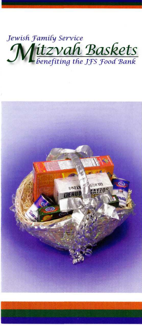

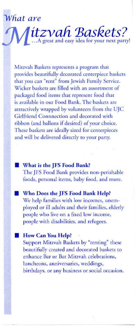## *are*

Mitzvah Baskets represents a program that provides beautifully decorated centerpiece baskets that you can "rent" from Jewish Family Service. Wicker baskets are filled with an assortment of packaged food items that represent food that is available in our Food Bank. The baskets are attractively wrapped by volunteers from the UJC Girlfriend Connnection and decorated with ribbon (and ballons if desired) of your choice. These baskets are ideally sized for centerpieces and will be delivered directly to your party.

*itzvafi "Baskets? ..* .A great and easy idea for your next party!

- **What is the JFS Food Bank?** The JFS Food Bank provides non-perishable foods, personal items, baby food, and more.
	- **Who Does the JFS Food Bank Help?** We help families with low incomes, unemployed or ill adults and their families, elderly people who live on a fixed low income, people with disabilities, and refugees.
- **How Can You Help?** Support Mitzvah Baskets by "renting" these beautifully created and decorated baskets to enhance Bar or Bat Mitzvah celebrations, luncheons, anniversaries, weddings, birthdays, or any business or social occasion.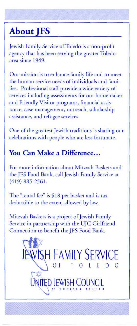## **About JFS**

Jewish Family Service of Toledo is a non-profit agency that has been serving the greater Toledo area since 1949.

Our mission is to enhance family life and to meet the human service needs of individuals and families. Professional staff provide a wide variety of services including assessments for our homemaker and Friendly Visitor programs, financial assistance, case management, outreach, scholarship assistance, and refugee services.

One of the greatest Jewish traditions is sharing our celebrations with people who are less fortunate.

## **You Can Make a Difference...**

For more information about Mitzvah Baskets and the JFS Food Bank, call Jewish Family Service at (419) 885-2561.

The "rental fee" is \$18 per basket and is tax deductible to the extent allowed by law.

Mitzvah Baskets is a project of Jewish Family Service in partnership with the UJC Girlfriend Connection to benefit the JFS Food Bank.

> JEWISH FAMILY SERVICE  $\backslash$  OF TOLED O UNITED JEWISH COUNCIL

> > ''"m>